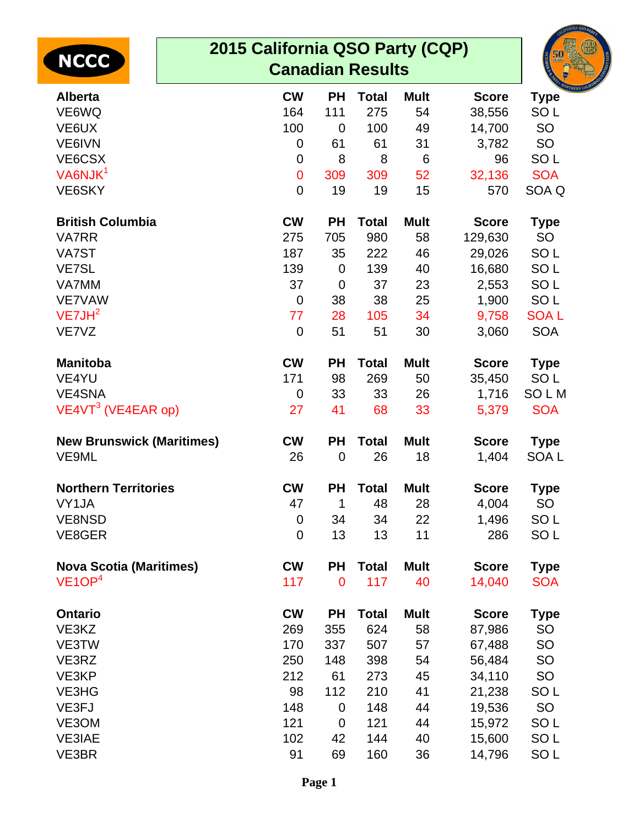|                                  | 2015 California QSO Party (CQP) |             |              |             |              |                  |  |
|----------------------------------|---------------------------------|-------------|--------------|-------------|--------------|------------------|--|
| <b>NCCC</b>                      | <b>Canadian Results</b>         |             |              |             |              |                  |  |
| <b>Alberta</b>                   | <b>CW</b>                       | <b>PH</b>   | <b>Total</b> | <b>Mult</b> | <b>Score</b> | <b>Type</b>      |  |
| VE6WQ                            | 164                             | 111         | 275          | 54          | 38,556       | SO <sub>L</sub>  |  |
| VE6UX                            | 100                             | 0           | 100          | 49          | 14,700       | SO               |  |
| VE6IVN                           | $\mathbf 0$                     | 61          | 61           | 31          | 3,782        | SO               |  |
| VE6CSX                           | $\mathbf 0$                     | 8           | 8            | 6           | 96           | SO <sub>L</sub>  |  |
| VA6NJK <sup>1</sup>              | $\mathbf 0$                     | 309         | 309          | 52          | 32,136       | <b>SOA</b>       |  |
| VE6SKY                           | $\overline{0}$                  | 19          | 19           | 15          | 570          | SOA Q            |  |
| <b>British Columbia</b>          | <b>CW</b>                       | <b>PH</b>   | <b>Total</b> | <b>Mult</b> | <b>Score</b> | <b>Type</b>      |  |
| <b>VA7RR</b>                     | 275                             | 705         | 980          | 58          | 129,630      | SO               |  |
| VA7ST                            | 187                             | 35          | 222          | 46          | 29,026       | SO <sub>L</sub>  |  |
| <b>VE7SL</b>                     | 139                             | $\mathbf 0$ | 139          | 40          | 16,680       | SO <sub>L</sub>  |  |
| VA7MM                            | 37                              | 0           | 37           | 23          | 2,553        | SO <sub>L</sub>  |  |
| <b>VE7VAW</b>                    | $\mathbf 0$                     | 38          | 38           | 25          | 1,900        | SO <sub>L</sub>  |  |
| VE7JH <sup>2</sup>               | 77                              | 28          | 105          | 34          | 9,758        | <b>SOAL</b>      |  |
| VE7VZ                            | $\overline{0}$                  | 51          | 51           | 30          | 3,060        | <b>SOA</b>       |  |
| <b>Manitoba</b>                  | <b>CW</b>                       | <b>PH</b>   | <b>Total</b> | <b>Mult</b> | <b>Score</b> | <b>Type</b>      |  |
| VE4YU                            | 171                             | 98          | 269          | 50          | 35,450       | SO <sub>L</sub>  |  |
| <b>VE4SNA</b>                    | $\mathbf 0$                     | 33          | 33           | 26          | 1,716        | <b>SOLM</b>      |  |
| $VE4VT3$ (VE4EAR op)             | 27                              | 41          | 68           | 33          | 5,379        | <b>SOA</b>       |  |
| <b>New Brunswick (Maritimes)</b> | <b>CW</b>                       | <b>PH</b>   | <b>Total</b> | <b>Mult</b> | <b>Score</b> | <b>Type</b>      |  |
| VE9ML                            | 26                              | $\mathbf 0$ | 26           | 18          | 1,404        | SOA <sub>L</sub> |  |
| <b>Northern Territories</b>      | <b>CW</b>                       |             | PH Total     | Mult        | <b>Score</b> | <b>Type</b>      |  |
| VY1JA                            | 47                              | 1           | 48           | 28          | 4,004        | SO               |  |
| <b>VE8NSD</b>                    | $\mathbf 0$                     | 34          | 34           | 22          | 1,496        | SO <sub>L</sub>  |  |
| VE8GER                           | $\mathbf 0$                     | 13          | 13           | 11          | 286          | SO <sub>L</sub>  |  |
| <b>Nova Scotia (Maritimes)</b>   | <b>CW</b>                       | <b>PH</b>   | <b>Total</b> | <b>Mult</b> | <b>Score</b> | <b>Type</b>      |  |
| VE1OP <sup>4</sup>               | 117                             | $\mathbf 0$ | 117          | 40          | 14,040       | <b>SOA</b>       |  |
| <b>Ontario</b>                   | <b>CW</b>                       | <b>PH</b>   | <b>Total</b> | <b>Mult</b> | <b>Score</b> | <b>Type</b>      |  |
| VE3KZ                            | 269                             | 355         | 624          | 58          | 87,986       | SO               |  |
| VE3TW                            | 170                             | 337         | 507          | 57          | 67,488       | SO               |  |
| VE3RZ                            | 250                             | 148         | 398          | 54          | 56,484       | SO               |  |
| VE3KP                            | 212                             | 61          | 273          | 45          | 34,110       | SO               |  |
| VE3HG                            | 98                              | 112         | 210          | 41          | 21,238       | SO <sub>L</sub>  |  |
| VE3FJ                            | 148                             | $\mathbf 0$ | 148          | 44          | 19,536       | <b>SO</b>        |  |
| VE3OM                            | 121                             | 0           | 121          | 44          | 15,972       | SO <sub>L</sub>  |  |
| <b>VE3IAE</b>                    | 102                             | 42          | 144          | 40          | 15,600       | SO <sub>L</sub>  |  |
| VE3BR                            | 91                              | 69          | 160          | 36          | 14,796       | SO <sub>L</sub>  |  |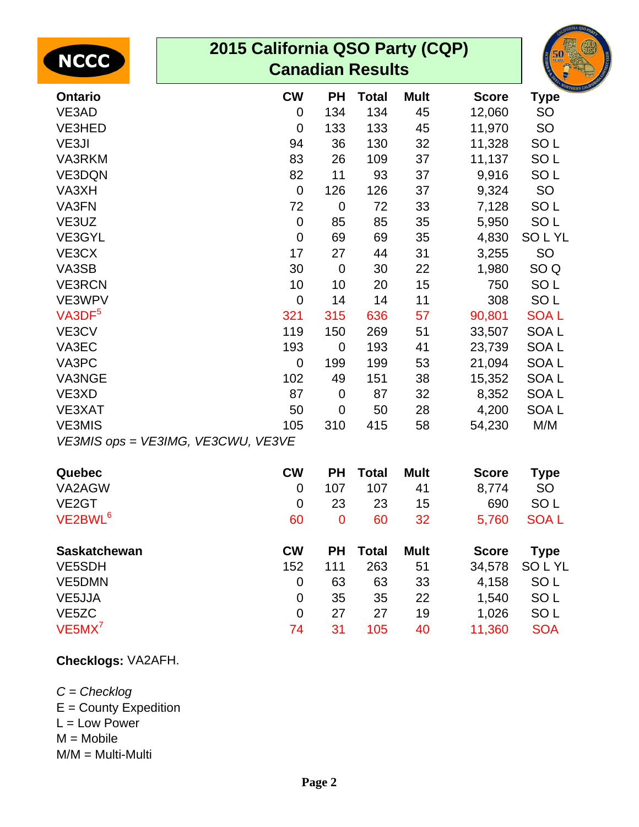| <b>NCCC</b>                        | 2015 California QSO Party (CQP)<br><b>Canadian Results</b> |                |              |             |              |                  |  |  |
|------------------------------------|------------------------------------------------------------|----------------|--------------|-------------|--------------|------------------|--|--|
| <b>Ontario</b>                     | <b>CW</b>                                                  | <b>PH</b>      | <b>Total</b> | <b>Mult</b> | <b>Score</b> | <b>Type</b>      |  |  |
| VE3AD                              | $\overline{0}$                                             | 134            | 134          | 45          | 12,060       | <b>SO</b>        |  |  |
| VE3HED                             | $\overline{0}$                                             | 133            | 133          | 45          | 11,970       | SO               |  |  |
| VE3JI                              | 94                                                         | 36             | 130          | 32          | 11,328       | SO <sub>L</sub>  |  |  |
| <b>VA3RKM</b>                      | 83                                                         | 26             | 109          | 37          | 11,137       | SO <sub>L</sub>  |  |  |
| VE3DQN                             | 82                                                         | 11             | 93           | 37          | 9,916        | SO <sub>L</sub>  |  |  |
| VA3XH                              | $\mathbf 0$                                                | 126            | 126          | 37          | 9,324        | <b>SO</b>        |  |  |
| VA3FN                              | 72                                                         | $\overline{0}$ | 72           | 33          | 7,128        | SO <sub>L</sub>  |  |  |
| VE3UZ                              | $\mathbf 0$                                                | 85             | 85           | 35          | 5,950        | SO <sub>L</sub>  |  |  |
| VE3GYL                             | $\Omega$                                                   | 69             | 69           | 35          | 4,830        | <b>SOLYL</b>     |  |  |
| VE3CX                              | 17                                                         | 27             | 44           | 31          | 3,255        | <b>SO</b>        |  |  |
| VA3SB                              | 30                                                         | $\overline{0}$ | 30           | 22          | 1,980        | SO <sub>Q</sub>  |  |  |
| <b>VE3RCN</b>                      | 10                                                         | 10             | 20           | 15          | 750          | SO <sub>L</sub>  |  |  |
| VE3WPV                             | $\mathbf 0$                                                | 14             | 14           | 11          | 308          | SO <sub>L</sub>  |  |  |
| $V$ A3D $F5$                       | 321                                                        | 315            | 636          | 57          | 90,801       | <b>SOAL</b>      |  |  |
| VE3CV                              | 119                                                        | 150            | 269          | 51          | 33,507       | <b>SOAL</b>      |  |  |
| VA3EC                              | 193                                                        | 0              | 193          | 41          | 23,739       | <b>SOAL</b>      |  |  |
| VA3PC                              | $\Omega$                                                   | 199            | 199          | 53          | 21,094       | SOA <sub>L</sub> |  |  |
| VA3NGE                             | 102                                                        | 49             | 151          | 38          | 15,352       | <b>SOAL</b>      |  |  |
| VE3XD                              | 87                                                         | $\overline{0}$ | 87           | 32          | 8,352        | SOA <sub>L</sub> |  |  |
| <b>VE3XAT</b>                      | 50                                                         | $\overline{0}$ | 50           | 28          | 4,200        | SOA <sub>L</sub> |  |  |
| <b>VE3MIS</b>                      | 105                                                        | 310            | 415          | 58          | 54,230       | M/M              |  |  |
| VE3MIS ops = VE3IMG, VE3CWU, VE3VE |                                                            |                |              |             |              |                  |  |  |
| Quebec                             | <b>CW</b>                                                  | <b>PH</b>      | <b>Total</b> | <b>Mult</b> | <b>Score</b> | <b>Type</b>      |  |  |
| VA2AGW                             | $\mathbf 0$                                                | 107            | 107          | 41          | 8,774        | <b>SO</b>        |  |  |
| VE <sub>2</sub> GT                 | $\mathbf 0$                                                | 23             | 23           | 15          | 690          | SO <sub>L</sub>  |  |  |
| VE2BWL <sup>6</sup>                | 60                                                         | $\overline{0}$ | 60           | 32          | 5,760        | <b>SOAL</b>      |  |  |
| <b>Saskatchewan</b>                | <b>CW</b>                                                  | <b>PH</b>      | <b>Total</b> | <b>Mult</b> | <b>Score</b> | <b>Type</b>      |  |  |
| VE5SDH                             | 152                                                        | 111            | 263          | 51          | 34,578       | SOLYL            |  |  |
| VE5DMN                             | $\overline{0}$                                             | 63             | 63           | 33          | 4,158        | SO <sub>L</sub>  |  |  |
| VE5JJA                             | $\overline{0}$                                             | 35             | 35           | 22          | 1,540        | SO <sub>L</sub>  |  |  |
| VE <sub>5</sub> ZC                 | $\overline{0}$                                             | 27             | 27           | 19          | 1,026        | SO <sub>L</sub>  |  |  |
| $VE5MX^7$                          | 74                                                         | 31             | 105          | 40          | 11,360       | <b>SOA</b>       |  |  |

## **Checklogs:** VA2AFH.

C = Checklog  $E =$  County Expedition  $L = Low Power$  $M = Mobile$ M/M = Multi-Multi